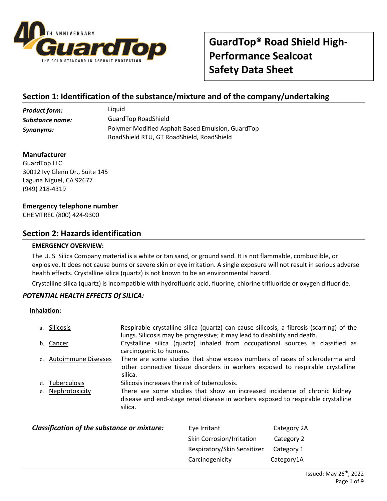

# **Section 1: Identification of the substance/mixture and of the company/undertaking**

*Product form:* Liquid *Substance name:* GuardTop RoadShield *Synonyms:* Polymer Modified Asphalt Based Emulsion, GuardTop RoadShield RTU, GT RoadShield, RoadShield

### **Manufacturer**

GuardTop LLC 30012 Ivy Glenn Dr., Suite 145 Laguna Niguel, CA 92677 (949) 218-4319

### **Emergency telephone number**

CHEMTREC (800) 424-9300

### **Section 2: Hazards identification**

### **EMERGENCY OVERVIEW:**

The U. S. Silica Company material is a white or tan sand, or ground sand. It is not flammable, combustible, or explosive. It does not cause burns or severe skin or eye irritation. A single exposure will not result in serious adverse health effects. Crystalline silica (quartz) is not known to be an environmental hazard.

Crystalline silica (quartz) is incompatible with hydrofluoric acid, fluorine, chlorine trifluoride or oxygen difluoride.

### *POTENTIAL HEALTH EFFECTS Of SILICA:*

#### **Inhalation:**

| a. Silicosis           | Respirable crystalline silica (quartz) can cause silicosis, a fibrosis (scarring) of the<br>lungs. Silicosis may be progressive; it may lead to disability and death.    |
|------------------------|--------------------------------------------------------------------------------------------------------------------------------------------------------------------------|
| b. Cancer              | Crystalline silica (quartz) inhaled from occupational sources is classified as<br>carcinogenic to humans.                                                                |
| c. Autoimmune Diseases | There are some studies that show excess numbers of cases of scleroderma and<br>other connective tissue disorders in workers exposed to respirable crystalline<br>silica. |
| d. Tuberculosis        | Silicosis increases the risk of tuberculosis.                                                                                                                            |
| e. Nephrotoxicity      | There are some studies that show an increased incidence of chronic kidney<br>disease and end-stage renal disease in workers exposed to respirable crystalline<br>silica. |

| Classification of the substance or mixture: | Eye Irritant                     | Category 2A |
|---------------------------------------------|----------------------------------|-------------|
|                                             | <b>Skin Corrosion/Irritation</b> | Category 2  |
|                                             | Respiratory/Skin Sensitizer      | Category 1  |
|                                             | Carcinogenicity                  | Category1A  |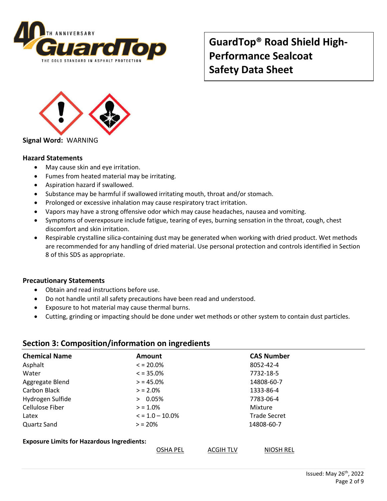



**Signal Word:** WARNING

### **Hazard Statements**

- May cause skin and eye irritation.
- Fumes from heated material may be irritating.
- Aspiration hazard if swallowed.
- Substance may be harmful if swallowed irritating mouth, throat and/or stomach.
- Prolonged or excessive inhalation may cause respiratory tract irritation.
- Vapors may have a strong offensive odor which may cause headaches, nausea and vomiting.
- Symptoms of overexposure include fatigue, tearing of eyes, burning sensation in the throat, cough, chest discomfort and skin irritation.
- Respirable crystalline silica-containing dust may be generated when working with dried product. Wet methods are recommended for any handling of dried material. Use personal protection and controls identified in Section 8 of this SDS as appropriate.

#### **Precautionary Statements**

- Obtain and read instructions before use.
- Do not handle until all safety precautions have been read and understood.
- Exposure to hot material may cause thermal burns.
- Cutting, grinding or impacting should be done under wet methods or other system to contain dust particles.

### **Section 3: Composition/information on ingredients**

| <b>Chemical Name</b>                              | <b>Amount</b>                       | <b>CAS Number</b>   |  |
|---------------------------------------------------|-------------------------------------|---------------------|--|
| Asphalt                                           | $\le$ = 20.0%                       | 8052-42-4           |  |
| Water                                             | $\le$ = 35.0%                       | 7732-18-5           |  |
| Aggregate Blend                                   | $> 45.0\%$                          | 14808-60-7          |  |
| Carbon Black                                      | $> 2.0\%$                           | 1333-86-4           |  |
| Hydrogen Sulfide                                  | > 0.05%                             | 7783-06-4           |  |
| Cellulose Fiber                                   | $> 1.0\%$                           | Mixture             |  |
| Latex                                             | $\le$ = 1.0 – 10.0%                 | <b>Trade Secret</b> |  |
| Quartz Sand                                       | $> 20\%$                            | 14808-60-7          |  |
| <b>Exposure Limits for Hazardous Ingredients:</b> |                                     |                     |  |
|                                                   | <b>OSHA PEL</b><br><b>ACGIH TLV</b> | <b>NIOSH REL</b>    |  |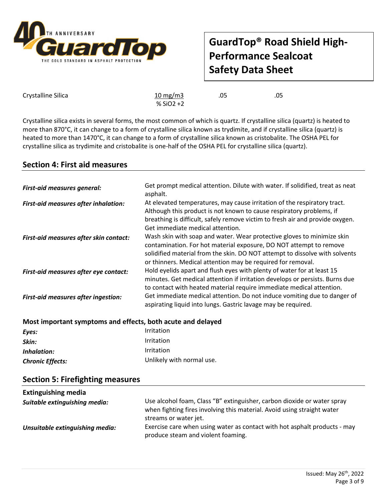![](_page_2_Picture_0.jpeg)

Crystalline Silica  $\frac{10 \text{ mg/m3}}{}$  .05 .05

% SiO2 +2

Crystalline silica exists in several forms, the most common of which is quartz. If crystalline silica (quartz) is heated to more than 870°C, it can change to a form of crystalline silica known as trydimite, and if crystalline silica (quartz) is heated to more than 1470°C, it can change to a form of crystalline silica known as cristobalite. The OSHA PEL for crystalline silica as trydimite and cristobalite is one-half of the OSHA PEL for crystalline silica (quartz).

# **Section 4: First aid measures**

| <b>First-aid measures general:</b>         | Get prompt medical attention. Dilute with water. If solidified, treat as neat<br>asphalt.                                                                                                                                                                                                  |  |
|--------------------------------------------|--------------------------------------------------------------------------------------------------------------------------------------------------------------------------------------------------------------------------------------------------------------------------------------------|--|
| First-aid measures after inhalation:       | At elevated temperatures, may cause irritation of the respiratory tract.<br>Although this product is not known to cause respiratory problems, if<br>breathing is difficult, safely remove victim to fresh air and provide oxygen.<br>Get immediate medical attention.                      |  |
| First-aid measures after skin contact:     | Wash skin with soap and water. Wear protective gloves to minimize skin<br>contamination. For hot material exposure, DO NOT attempt to remove<br>solidified material from the skin. DO NOT attempt to dissolve with solvents<br>or thinners. Medical attention may be required for removal. |  |
| First-aid measures after eye contact:      | Hold eyelids apart and flush eyes with plenty of water for at least 15<br>minutes. Get medical attention if irritation develops or persists. Burns due<br>to contact with heated material require immediate medical attention.                                                             |  |
| <b>First-aid measures after ingestion:</b> | Get immediate medical attention. Do not induce vomiting due to danger of<br>aspirating liquid into lungs. Gastric lavage may be required.                                                                                                                                                  |  |

| Most important symptoms and effects, both acute and delayed |                           |  |  |
|-------------------------------------------------------------|---------------------------|--|--|
| Eyes:                                                       | Irritation                |  |  |
| Skin:                                                       | Irritation                |  |  |
| Inhalation:                                                 | Irritation                |  |  |
| <b>Chronic Effects:</b>                                     | Unlikely with normal use. |  |  |

### **Section 5: Firefighting measures**

| <b>Extinguishing media</b>      |                                                                                                                                                                             |
|---------------------------------|-----------------------------------------------------------------------------------------------------------------------------------------------------------------------------|
| Suitable extinguishing media:   | Use alcohol foam, Class "B" extinguisher, carbon dioxide or water spray<br>when fighting fires involving this material. Avoid using straight water<br>streams or water jet. |
| Unsuitable extinguishing media: | Exercise care when using water as contact with hot asphalt products - may<br>produce steam and violent foaming.                                                             |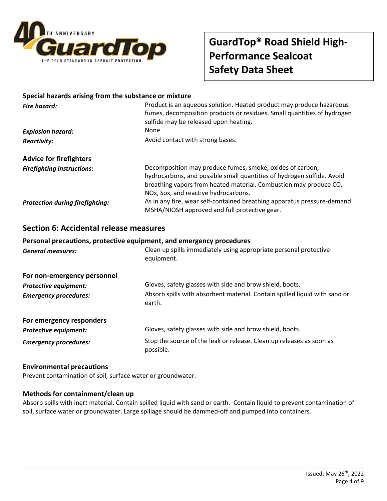![](_page_3_Picture_0.jpeg)

### **Special hazards arising from the substance or mixture**

| <b>Fire hazard:</b>                    | Product is an aqueous solution. Heated product may produce hazardous<br>fumes, decomposition products or residues. Small quantities of hydrogen<br>sulfide may be released upon heating.                                                         |  |
|----------------------------------------|--------------------------------------------------------------------------------------------------------------------------------------------------------------------------------------------------------------------------------------------------|--|
| <b>Explosion hazard:</b>               | <b>None</b>                                                                                                                                                                                                                                      |  |
| <b>Reactivity:</b>                     | Avoid contact with strong bases.                                                                                                                                                                                                                 |  |
| <b>Advice for firefighters</b>         |                                                                                                                                                                                                                                                  |  |
| <b>Firefighting instructions:</b>      | Decomposition may produce fumes, smoke, oxides of carbon,<br>hydrocarbons, and possible small quantities of hydrogen sulfide. Avoid<br>breathing vapors from heated material. Combustion may produce CO,<br>NOx, Sox, and reactive hydrocarbons. |  |
| <b>Protection during firefighting:</b> | As in any fire, wear self-contained breathing apparatus pressure-demand<br>MSHA/NIOSH approved and full protective gear.                                                                                                                         |  |

### **Section 6: Accidental release measures**

# **Personal precautions, protective equipment, and emergency procedures** *General measures:* Clean up spills immediately using appropriate personal protective equipment. **For non-emergency personnel Protective equipment:** Gloves, safety glasses with side and brow shield, boots. *Emergency procedures:* Absorb spills with absorbent material. Contain spilled liquid with sand or earth. **For emergency responders** *Protective equipment:* Gloves, safety glasses with side and brow shield, boots.

**Emergency procedures:** Stop the source of the leak or release. Clean up releases as soon as possible.

### **Environmental precautions**

Prevent contamination of soil, surface water or groundwater.

### **Methods for containment/clean up**

Absorb spills with inert material. Contain spilled liquid with sand or earth. Contain liquid to prevent contamination of soil, surface water or groundwater. Large spillage should be dammed-off and pumped into containers.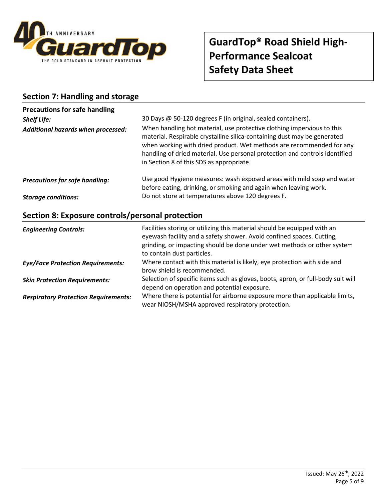![](_page_4_Picture_0.jpeg)

# **Section 7: Handling and storage**

| <b>Precautions for safe handling</b>  |                                                                                                                                                                                                                                                                                                                                                                                                                       |  |
|---------------------------------------|-----------------------------------------------------------------------------------------------------------------------------------------------------------------------------------------------------------------------------------------------------------------------------------------------------------------------------------------------------------------------------------------------------------------------|--|
| <b>Shelf Life:</b>                    | 30 Days @ 50-120 degrees F (in original, sealed containers).<br>When handling hot material, use protective clothing impervious to this<br>material. Respirable crystalline silica-containing dust may be generated<br>when working with dried product. Wet methods are recommended for any<br>handling of dried material. Use personal protection and controls identified<br>in Section 8 of this SDS as appropriate. |  |
| Additional hazards when processed:    |                                                                                                                                                                                                                                                                                                                                                                                                                       |  |
| <b>Precautions for safe handling:</b> | Use good Hygiene measures: wash exposed areas with mild soap and water<br>before eating, drinking, or smoking and again when leaving work.                                                                                                                                                                                                                                                                            |  |
| <b>Storage conditions:</b>            | Do not store at temperatures above 120 degrees F.                                                                                                                                                                                                                                                                                                                                                                     |  |

# **Section 8: Exposure controls/personal protection**

| <b>Engineering Controls:</b>                | Facilities storing or utilizing this material should be equipped with an<br>eyewash facility and a safety shower. Avoid confined spaces. Cutting,<br>grinding, or impacting should be done under wet methods or other system<br>to contain dust particles. |
|---------------------------------------------|------------------------------------------------------------------------------------------------------------------------------------------------------------------------------------------------------------------------------------------------------------|
| <b>Eye/Face Protection Requirements:</b>    | Where contact with this material is likely, eye protection with side and<br>brow shield is recommended.                                                                                                                                                    |
| <b>Skin Protection Requirements:</b>        | Selection of specific items such as gloves, boots, apron, or full-body suit will<br>depend on operation and potential exposure.                                                                                                                            |
| <b>Respiratory Protection Requirements:</b> | Where there is potential for airborne exposure more than applicable limits,<br>wear NIOSH/MSHA approved respiratory protection.                                                                                                                            |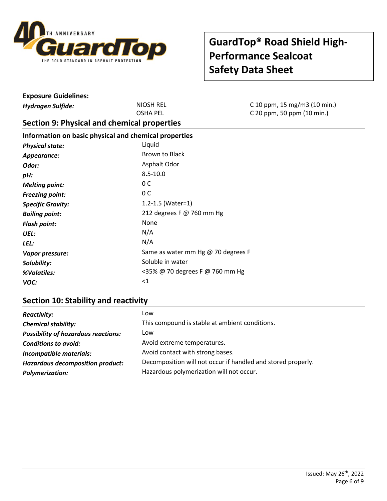![](_page_5_Picture_0.jpeg)

| <b>Exposure Guidelines:</b>                           |                                    |                                                            |
|-------------------------------------------------------|------------------------------------|------------------------------------------------------------|
| <b>Hydrogen Sulfide:</b>                              | <b>NIOSH REL</b>                   | C 10 ppm, 15 mg/m3 (10 min.)<br>C 20 ppm, 50 ppm (10 min.) |
|                                                       | <b>OSHA PEL</b>                    |                                                            |
| Section 9: Physical and chemical properties           |                                    |                                                            |
| Information on basic physical and chemical properties |                                    |                                                            |
| <b>Physical state:</b>                                | Liquid                             |                                                            |
| Appearance:                                           | Brown to Black                     |                                                            |
| Odor:                                                 | Asphalt Odor                       |                                                            |
| pH:                                                   | $8.5 - 10.0$                       |                                                            |
| <b>Melting point:</b>                                 | 0 <sup>C</sup>                     |                                                            |
| <b>Freezing point:</b>                                | 0 <sup>C</sup>                     |                                                            |
| <b>Specific Gravity:</b>                              | 1.2-1.5 (Water=1)                  |                                                            |
| <b>Boiling point:</b>                                 | 212 degrees F @ 760 mm Hg          |                                                            |
| <b>Flash point:</b>                                   | None                               |                                                            |
| UEL:                                                  | N/A                                |                                                            |
| LEL:                                                  | N/A                                |                                                            |
| Vapor pressure:                                       | Same as water mm Hg @ 70 degrees F |                                                            |
| Solubility:                                           | Soluble in water                   |                                                            |
| %Volatiles:                                           | <35% @ 70 degrees F @ 760 mm Hg    |                                                            |
| VOC:                                                  | $<$ 1                              |                                                            |

# **Section 10: Stability and reactivity**

| <b>Reactivity:</b>                         | Low                                                          |
|--------------------------------------------|--------------------------------------------------------------|
| <b>Chemical stability:</b>                 | This compound is stable at ambient conditions.               |
| <b>Possibility of hazardous reactions:</b> | Low                                                          |
| <b>Conditions to avoid:</b>                | Avoid extreme temperatures.                                  |
| Incompatible materials:                    | Avoid contact with strong bases.                             |
| <b>Hazardous decomposition product:</b>    | Decomposition will not occur if handled and stored properly. |
| <b>Polymerization:</b>                     | Hazardous polymerization will not occur.                     |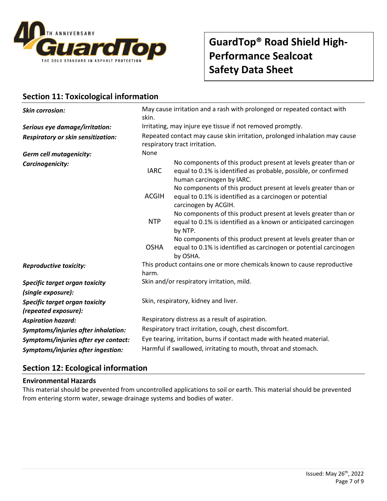![](_page_6_Picture_0.jpeg)

# **Section 11: Toxicological information**

| <b>Skin corrosion:</b>                                                       | May cause irritation and a rash with prolonged or repeated contact with<br>skin.                            |                                                                                                                                                                 |  |  |
|------------------------------------------------------------------------------|-------------------------------------------------------------------------------------------------------------|-----------------------------------------------------------------------------------------------------------------------------------------------------------------|--|--|
| Serious eye damage/irritation:                                               | Irritating, may injure eye tissue if not removed promptly.                                                  |                                                                                                                                                                 |  |  |
| <b>Respiratory or skin sensitization:</b>                                    | Repeated contact may cause skin irritation, prolonged inhalation may cause<br>respiratory tract irritation. |                                                                                                                                                                 |  |  |
| <b>Germ cell mutagenicity:</b>                                               | None                                                                                                        |                                                                                                                                                                 |  |  |
| Carcinogenicity:                                                             | <b>IARC</b>                                                                                                 | No components of this product present at levels greater than or<br>equal to 0.1% is identified as probable, possible, or confirmed<br>human carcinogen by IARC. |  |  |
|                                                                              | <b>ACGIH</b>                                                                                                | No components of this product present at levels greater than or<br>equal to 0.1% is identified as a carcinogen or potential<br>carcinogen by ACGIH.             |  |  |
|                                                                              | <b>NTP</b>                                                                                                  | No components of this product present at levels greater than or<br>equal to 0.1% is identified as a known or anticipated carcinogen<br>by NTP.                  |  |  |
|                                                                              | <b>OSHA</b>                                                                                                 | No components of this product present at levels greater than or<br>equal to 0.1% is identified as carcinogen or potential carcinogen<br>by OSHA.                |  |  |
| <b>Reproductive toxicity:</b>                                                | harm.                                                                                                       | This product contains one or more chemicals known to cause reproductive                                                                                         |  |  |
| Specific target organ toxicity                                               |                                                                                                             | Skin and/or respiratory irritation, mild.                                                                                                                       |  |  |
| (single exposure):<br>Specific target organ toxicity<br>(repeated exposure): | Skin, respiratory, kidney and liver.                                                                        |                                                                                                                                                                 |  |  |
| <b>Aspiration hazard:</b>                                                    | Respiratory distress as a result of aspiration.                                                             |                                                                                                                                                                 |  |  |
| Symptoms/injuries after inhalation:                                          | Respiratory tract irritation, cough, chest discomfort.                                                      |                                                                                                                                                                 |  |  |
| Symptoms/injuries after eye contact:                                         | Eye tearing, irritation, burns if contact made with heated material.                                        |                                                                                                                                                                 |  |  |
| Symptoms/injuries after ingestion:                                           |                                                                                                             | Harmful if swallowed, irritating to mouth, throat and stomach.                                                                                                  |  |  |

# **Section 12: Ecological information**

### **Environmental Hazards**

This material should be prevented from uncontrolled applications to soil or earth. This material should be prevented from entering storm water, sewage drainage systems and bodies of water.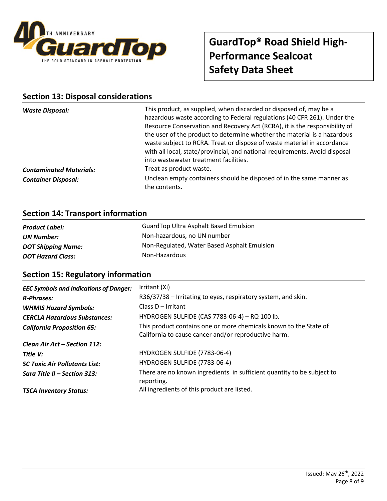![](_page_7_Picture_0.jpeg)

# **Section 13: Disposal considerations**

| <b>Waste Disposal:</b>         | This product, as supplied, when discarded or disposed of, may be a<br>hazardous waste according to Federal regulations (40 CFR 261). Under the<br>Resource Conservation and Recovery Act (RCRA), it is the responsibility of<br>the user of the product to determine whether the material is a hazardous<br>waste subject to RCRA. Treat or dispose of waste material in accordance<br>with all local, state/provincial, and national requirements. Avoid disposal<br>into wastewater treatment facilities. |
|--------------------------------|-------------------------------------------------------------------------------------------------------------------------------------------------------------------------------------------------------------------------------------------------------------------------------------------------------------------------------------------------------------------------------------------------------------------------------------------------------------------------------------------------------------|
| <b>Contaminated Materials:</b> | Treat as product waste.                                                                                                                                                                                                                                                                                                                                                                                                                                                                                     |
| <b>Container Disposal:</b>     | Unclean empty containers should be disposed of in the same manner as<br>the contents.                                                                                                                                                                                                                                                                                                                                                                                                                       |

# **Section 14: Transport information**

| <b>Product Label:</b>     | <b>GuardTop Ultra Asphalt Based Emulsion</b> |
|---------------------------|----------------------------------------------|
| UN Number:                | Non-hazardous, no UN number                  |
| <b>DOT Shipping Name:</b> | Non-Regulated, Water Based Asphalt Emulsion  |
| <b>DOT Hazard Class:</b>  | Non-Hazardous                                |

### **Section 15: Regulatory information**

| <b>EEC Symbols and Indications of Danger:</b> | Irritant (Xi)                                                                                                             |
|-----------------------------------------------|---------------------------------------------------------------------------------------------------------------------------|
| <b>R-Phrases:</b>                             | R36/37/38 - Irritating to eyes, respiratory system, and skin.                                                             |
| <b>WHMIS Hazard Symbols:</b>                  | Class $D - Irr$                                                                                                           |
| <b>CERCLA Hazardous Substances:</b>           | HYDROGEN SULFIDE (CAS 7783-06-4) - RQ 100 lb.                                                                             |
| <b>California Proposition 65:</b>             | This product contains one or more chemicals known to the State of<br>California to cause cancer and/or reproductive harm. |
| Clean Air Act – Section 112:                  |                                                                                                                           |
| Title V:                                      | HYDROGEN SULFIDE (7783-06-4)                                                                                              |
| <b>SC Toxic Air Pollutants List:</b>          | HYDROGEN SULFIDE (7783-06-4)                                                                                              |
| Sara Title II – Section 313:                  | There are no known ingredients in sufficient quantity to be subject to<br>reporting.                                      |
| <b>TSCA Inventory Status:</b>                 | All ingredients of this product are listed.                                                                               |